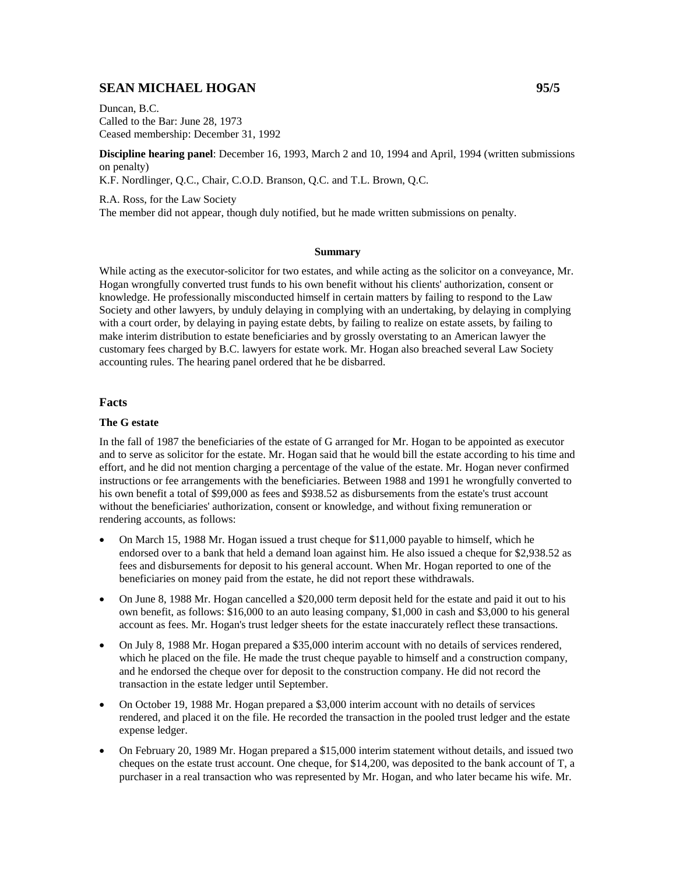# **SEAN MICHAEL HOGAN 95/5**

Duncan, B.C. Called to the Bar: June 28, 1973 Ceased membership: December 31, 1992

**Discipline hearing panel**: December 16, 1993, March 2 and 10, 1994 and April, 1994 (written submissions on penalty) K.F. Nordlinger, Q.C., Chair, C.O.D. Branson, Q.C. and T.L. Brown, Q.C.

R.A. Ross, for the Law Society The member did not appear, though duly notified, but he made written submissions on penalty.

#### **Summary**

While acting as the executor-solicitor for two estates, and while acting as the solicitor on a conveyance, Mr. Hogan wrongfully converted trust funds to his own benefit without his clients' authorization, consent or knowledge. He professionally misconducted himself in certain matters by failing to respond to the Law Society and other lawyers, by unduly delaying in complying with an undertaking, by delaying in complying with a court order, by delaying in paying estate debts, by failing to realize on estate assets, by failing to make interim distribution to estate beneficiaries and by grossly overstating to an American lawyer the customary fees charged by B.C. lawyers for estate work. Mr. Hogan also breached several Law Society accounting rules. The hearing panel ordered that he be disbarred.

#### **Facts**

#### **The G estate**

In the fall of 1987 the beneficiaries of the estate of G arranged for Mr. Hogan to be appointed as executor and to serve as solicitor for the estate. Mr. Hogan said that he would bill the estate according to his time and effort, and he did not mention charging a percentage of the value of the estate. Mr. Hogan never confirmed instructions or fee arrangements with the beneficiaries. Between 1988 and 1991 he wrongfully converted to his own benefit a total of \$99,000 as fees and \$938.52 as disbursements from the estate's trust account without the beneficiaries' authorization, consent or knowledge, and without fixing remuneration or rendering accounts, as follows:

- On March 15, 1988 Mr. Hogan issued a trust cheque for \$11,000 payable to himself, which he endorsed over to a bank that held a demand loan against him. He also issued a cheque for \$2,938.52 as fees and disbursements for deposit to his general account. When Mr. Hogan reported to one of the beneficiaries on money paid from the estate, he did not report these withdrawals.
- On June 8, 1988 Mr. Hogan cancelled a \$20,000 term deposit held for the estate and paid it out to his own benefit, as follows: \$16,000 to an auto leasing company, \$1,000 in cash and \$3,000 to his general account as fees. Mr. Hogan's trust ledger sheets for the estate inaccurately reflect these transactions.
- On July 8, 1988 Mr. Hogan prepared a \$35,000 interim account with no details of services rendered, which he placed on the file. He made the trust cheque payable to himself and a construction company, and he endorsed the cheque over for deposit to the construction company. He did not record the transaction in the estate ledger until September.
- On October 19, 1988 Mr. Hogan prepared a \$3,000 interim account with no details of services rendered, and placed it on the file. He recorded the transaction in the pooled trust ledger and the estate expense ledger.
- On February 20, 1989 Mr. Hogan prepared a \$15,000 interim statement without details, and issued two cheques on the estate trust account. One cheque, for \$14,200, was deposited to the bank account of T, a purchaser in a real transaction who was represented by Mr. Hogan, and who later became his wife. Mr.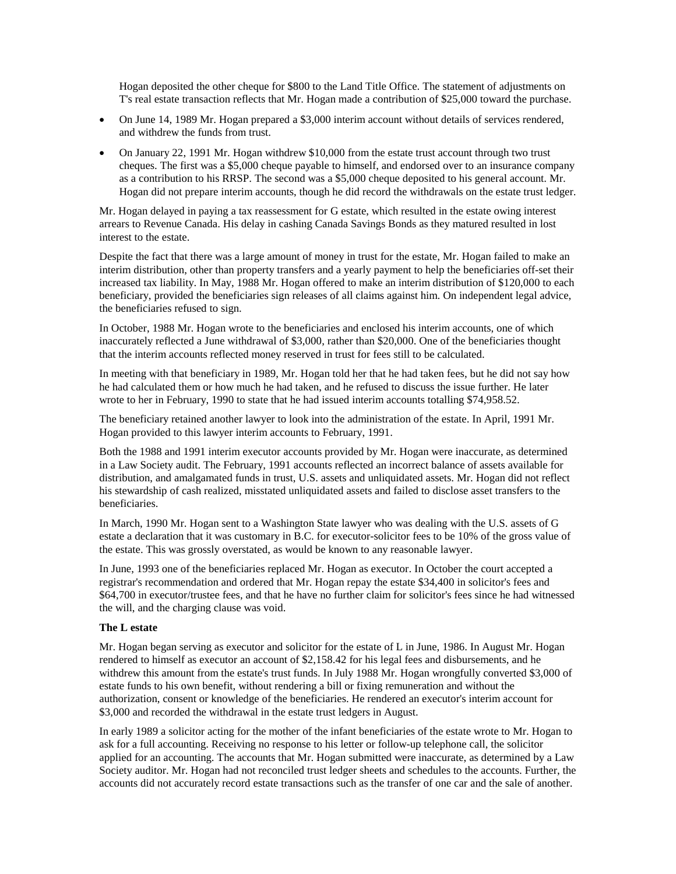Hogan deposited the other cheque for \$800 to the Land Title Office. The statement of adjustments on T's real estate transaction reflects that Mr. Hogan made a contribution of \$25,000 toward the purchase.

- On June 14, 1989 Mr. Hogan prepared a \$3,000 interim account without details of services rendered, and withdrew the funds from trust.
- On January 22, 1991 Mr. Hogan withdrew \$10,000 from the estate trust account through two trust cheques. The first was a \$5,000 cheque payable to himself, and endorsed over to an insurance company as a contribution to his RRSP. The second was a \$5,000 cheque deposited to his general account. Mr. Hogan did not prepare interim accounts, though he did record the withdrawals on the estate trust ledger.

Mr. Hogan delayed in paying a tax reassessment for G estate, which resulted in the estate owing interest arrears to Revenue Canada. His delay in cashing Canada Savings Bonds as they matured resulted in lost interest to the estate.

Despite the fact that there was a large amount of money in trust for the estate, Mr. Hogan failed to make an interim distribution, other than property transfers and a yearly payment to help the beneficiaries off-set their increased tax liability. In May, 1988 Mr. Hogan offered to make an interim distribution of \$120,000 to each beneficiary, provided the beneficiaries sign releases of all claims against him. On independent legal advice, the beneficiaries refused to sign.

In October, 1988 Mr. Hogan wrote to the beneficiaries and enclosed his interim accounts, one of which inaccurately reflected a June withdrawal of \$3,000, rather than \$20,000. One of the beneficiaries thought that the interim accounts reflected money reserved in trust for fees still to be calculated.

In meeting with that beneficiary in 1989, Mr. Hogan told her that he had taken fees, but he did not say how he had calculated them or how much he had taken, and he refused to discuss the issue further. He later wrote to her in February, 1990 to state that he had issued interim accounts totalling \$74,958.52.

The beneficiary retained another lawyer to look into the administration of the estate. In April, 1991 Mr. Hogan provided to this lawyer interim accounts to February, 1991.

Both the 1988 and 1991 interim executor accounts provided by Mr. Hogan were inaccurate, as determined in a Law Society audit. The February, 1991 accounts reflected an incorrect balance of assets available for distribution, and amalgamated funds in trust, U.S. assets and unliquidated assets. Mr. Hogan did not reflect his stewardship of cash realized, misstated unliquidated assets and failed to disclose asset transfers to the beneficiaries.

In March, 1990 Mr. Hogan sent to a Washington State lawyer who was dealing with the U.S. assets of G estate a declaration that it was customary in B.C. for executor-solicitor fees to be 10% of the gross value of the estate. This was grossly overstated, as would be known to any reasonable lawyer.

In June, 1993 one of the beneficiaries replaced Mr. Hogan as executor. In October the court accepted a registrar's recommendation and ordered that Mr. Hogan repay the estate \$34,400 in solicitor's fees and \$64,700 in executor/trustee fees, and that he have no further claim for solicitor's fees since he had witnessed the will, and the charging clause was void.

## **The L estate**

Mr. Hogan began serving as executor and solicitor for the estate of L in June, 1986. In August Mr. Hogan rendered to himself as executor an account of \$2,158.42 for his legal fees and disbursements, and he withdrew this amount from the estate's trust funds. In July 1988 Mr. Hogan wrongfully converted \$3,000 of estate funds to his own benefit, without rendering a bill or fixing remuneration and without the authorization, consent or knowledge of the beneficiaries. He rendered an executor's interim account for \$3,000 and recorded the withdrawal in the estate trust ledgers in August.

In early 1989 a solicitor acting for the mother of the infant beneficiaries of the estate wrote to Mr. Hogan to ask for a full accounting. Receiving no response to his letter or follow-up telephone call, the solicitor applied for an accounting. The accounts that Mr. Hogan submitted were inaccurate, as determined by a Law Society auditor. Mr. Hogan had not reconciled trust ledger sheets and schedules to the accounts. Further, the accounts did not accurately record estate transactions such as the transfer of one car and the sale of another.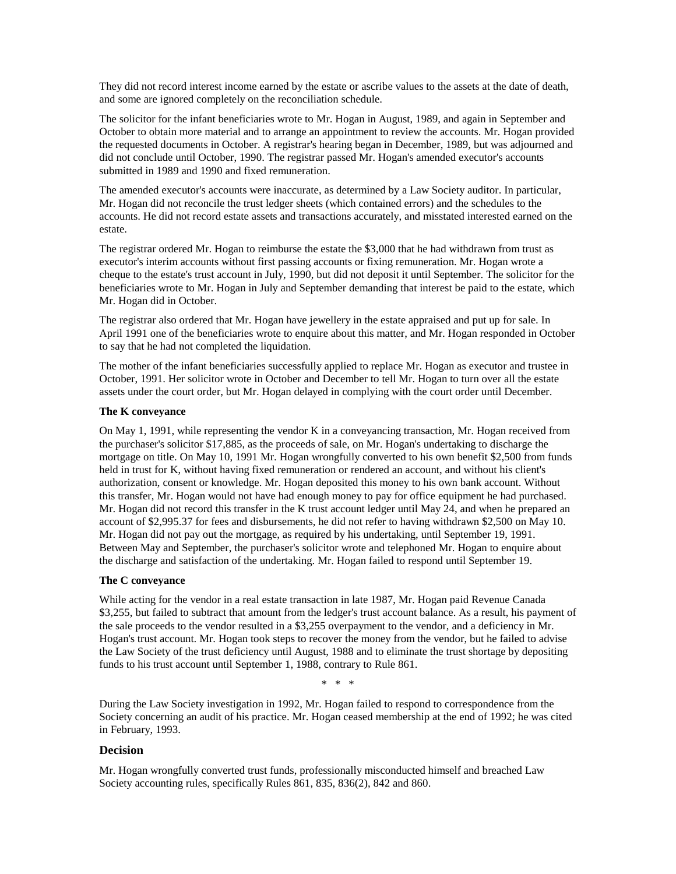They did not record interest income earned by the estate or ascribe values to the assets at the date of death, and some are ignored completely on the reconciliation schedule.

The solicitor for the infant beneficiaries wrote to Mr. Hogan in August, 1989, and again in September and October to obtain more material and to arrange an appointment to review the accounts. Mr. Hogan provided the requested documents in October. A registrar's hearing began in December, 1989, but was adjourned and did not conclude until October, 1990. The registrar passed Mr. Hogan's amended executor's accounts submitted in 1989 and 1990 and fixed remuneration.

The amended executor's accounts were inaccurate, as determined by a Law Society auditor. In particular, Mr. Hogan did not reconcile the trust ledger sheets (which contained errors) and the schedules to the accounts. He did not record estate assets and transactions accurately, and misstated interested earned on the estate.

The registrar ordered Mr. Hogan to reimburse the estate the \$3,000 that he had withdrawn from trust as executor's interim accounts without first passing accounts or fixing remuneration. Mr. Hogan wrote a cheque to the estate's trust account in July, 1990, but did not deposit it until September. The solicitor for the beneficiaries wrote to Mr. Hogan in July and September demanding that interest be paid to the estate, which Mr. Hogan did in October.

The registrar also ordered that Mr. Hogan have jewellery in the estate appraised and put up for sale. In April 1991 one of the beneficiaries wrote to enquire about this matter, and Mr. Hogan responded in October to say that he had not completed the liquidation.

The mother of the infant beneficiaries successfully applied to replace Mr. Hogan as executor and trustee in October, 1991. Her solicitor wrote in October and December to tell Mr. Hogan to turn over all the estate assets under the court order, but Mr. Hogan delayed in complying with the court order until December.

## **The K conveyance**

On May 1, 1991, while representing the vendor K in a conveyancing transaction, Mr. Hogan received from the purchaser's solicitor \$17,885, as the proceeds of sale, on Mr. Hogan's undertaking to discharge the mortgage on title. On May 10, 1991 Mr. Hogan wrongfully converted to his own benefit \$2,500 from funds held in trust for K, without having fixed remuneration or rendered an account, and without his client's authorization, consent or knowledge. Mr. Hogan deposited this money to his own bank account. Without this transfer, Mr. Hogan would not have had enough money to pay for office equipment he had purchased. Mr. Hogan did not record this transfer in the K trust account ledger until May 24, and when he prepared an account of \$2,995.37 for fees and disbursements, he did not refer to having withdrawn \$2,500 on May 10. Mr. Hogan did not pay out the mortgage, as required by his undertaking, until September 19, 1991. Between May and September, the purchaser's solicitor wrote and telephoned Mr. Hogan to enquire about the discharge and satisfaction of the undertaking. Mr. Hogan failed to respond until September 19.

# **The C conveyance**

While acting for the vendor in a real estate transaction in late 1987, Mr. Hogan paid Revenue Canada \$3,255, but failed to subtract that amount from the ledger's trust account balance. As a result, his payment of the sale proceeds to the vendor resulted in a \$3,255 overpayment to the vendor, and a deficiency in Mr. Hogan's trust account. Mr. Hogan took steps to recover the money from the vendor, but he failed to advise the Law Society of the trust deficiency until August, 1988 and to eliminate the trust shortage by depositing funds to his trust account until September 1, 1988, contrary to Rule 861.

\* \* \*

During the Law Society investigation in 1992, Mr. Hogan failed to respond to correspondence from the Society concerning an audit of his practice. Mr. Hogan ceased membership at the end of 1992; he was cited in February, 1993.

# **Decision**

Mr. Hogan wrongfully converted trust funds, professionally misconducted himself and breached Law Society accounting rules, specifically Rules 861, 835, 836(2), 842 and 860.